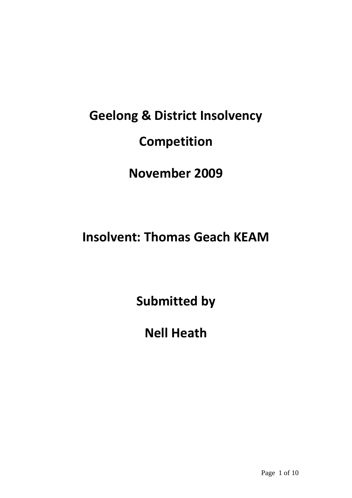# **Geelong & District Insolvency Competition**

**November 2009**

**Insolvent: Thomas Geach KEAM**

**Submitted by**

**Nell Heath**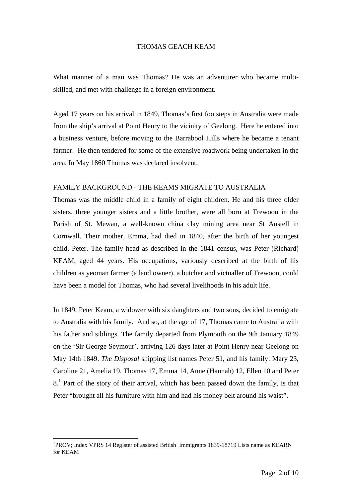#### THOMAS GEACH KEAM

What manner of a man was Thomas? He was an adventurer who became multiskilled, and met with challenge in a foreign environment.

Aged 17 years on his arrival in 1849, Thomas's first footsteps in Australia were made from the ship's arrival at Point Henry to the vicinity of Geelong. Here he entered into a business venture, before moving to the Barrabool Hills where he became a tenant farmer. He then tendered for some of the extensive roadwork being undertaken in the area. In May 1860 Thomas was declared insolvent.

#### FAMILY BACKGROUND - THE KEAMS MIGRATE TO AUSTRALIA

Thomas was the middle child in a family of eight children. He and his three older sisters, three younger sisters and a little brother, were all born at Trewoon in the Parish of St. Mewan, a well-known china clay mining area near St Austell in Cornwall. Their mother, Emma, had died in 1840, after the birth of her youngest child, Peter. The family head as described in the 1841 census, was Peter (Richard) KEAM, aged 44 years. His occupations, variously described at the birth of his children as yeoman farmer (a land owner), a butcher and victualler of Trewoon, could have been a model for Thomas, who had several livelihoods in his adult life.

In 1849, Peter Keam, a widower with six daughters and two sons, decided to emigrate to Australia with his family. And so, at the age of 17, Thomas came to Australia with his father and siblings. The family departed from Plymouth on the 9th January 1849 on the 'Sir George Seymour', arriving 126 days later at Point Henry near Geelong on May 14th 1849. *The Disposal* shipping list names Peter 51, and his family: Mary 23, Caroline 21, Amelia 19, Thomas 17, Emma 14, Anne (Hannah) 12, Ellen 10 and Peter  $8<sup>1</sup>$  Part of the story of their arrival, which has been passed down the family, is that Peter "brought all his furniture with him and had his money belt around his waist".

<u>.</u>

<sup>&</sup>lt;sup>1</sup>PROV; Index VPRS 14 Register of assisted British Immigrants 1839-18719 Lists name as KEARN for KEAM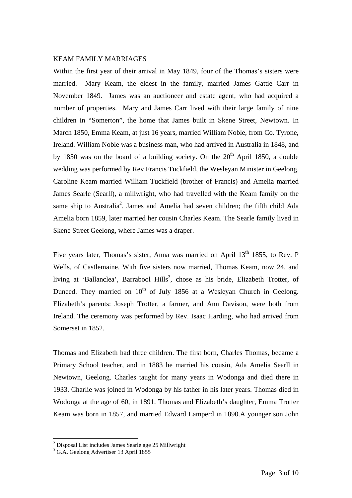#### KEAM FAMILY MARRIAGES

Within the first year of their arrival in May 1849, four of the Thomas's sisters were married. Mary Keam, the eldest in the family, married James Gattie Carr in November 1849. James was an auctioneer and estate agent, who had acquired a number of properties. Mary and James Carr lived with their large family of nine children in "Somerton", the home that James built in Skene Street, Newtown. In March 1850, Emma Keam, at just 16 years, married William Noble, from Co. Tyrone, Ireland. William Noble was a business man, who had arrived in Australia in 1848, and by 1850 was on the board of a building society. On the  $20<sup>th</sup>$  April 1850, a double wedding was performed by Rev Francis Tuckfield, the Wesleyan Minister in Geelong. Caroline Keam married William Tuckfield (brother of Francis) and Amelia married James Searle (Searll), a millwright, who had travelled with the Keam family on the same ship to Australia<sup>2</sup>. James and Amelia had seven children; the fifth child Ada Amelia born 1859, later married her cousin Charles Keam. The Searle family lived in Skene Street Geelong, where James was a draper.

Five years later, Thomas's sister, Anna was married on April 13<sup>th</sup> 1855, to Rev. P Wells, of Castlemaine. With five sisters now married, Thomas Keam, now 24, and living at 'Ballanclea', Barrabool Hills<sup>3</sup>, chose as his bride, Elizabeth Trotter, of Duneed. They married on  $10^{th}$  of July 1856 at a Wesleyan Church in Geelong. Elizabeth's parents: Joseph Trotter, a farmer, and Ann Davison, were both from Ireland. The ceremony was performed by Rev. Isaac Harding, who had arrived from Somerset in 1852.

Thomas and Elizabeth had three children. The first born, Charles Thomas, became a Primary School teacher, and in 1883 he married his cousin, Ada Amelia Searll in Newtown, Geelong. Charles taught for many years in Wodonga and died there in 1933. Charlie was joined in Wodonga by his father in his later years. Thomas died in Wodonga at the age of 60, in 1891. Thomas and Elizabeth's daughter, Emma Trotter Keam was born in 1857, and married Edward Lamperd in 1890.A younger son John

<u>.</u>

<sup>&</sup>lt;sup>2</sup> Disposal List includes James Searle age 25 Millwright

<sup>3</sup> G.A. Geelong Advertiser 13 April 1855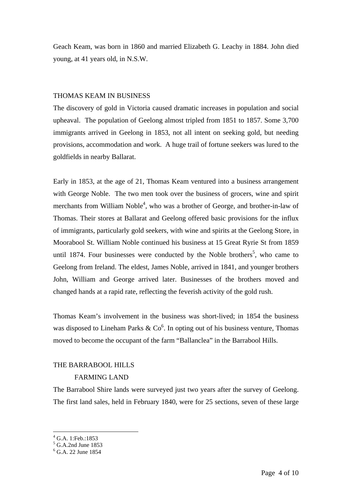Geach Keam, was born in 1860 and married Elizabeth G. Leachy in 1884. John died young, at 41 years old, in N.S.W.

#### THOMAS KEAM IN BUSINESS

The discovery of gold in Victoria caused dramatic increases in population and social upheaval. The population of Geelong almost tripled from 1851 to 1857. Some 3,700 immigrants arrived in Geelong in 1853, not all intent on seeking gold, but needing provisions, accommodation and work. A huge trail of fortune seekers was lured to the goldfields in nearby Ballarat.

Early in 1853, at the age of 21, Thomas Keam ventured into a business arrangement with George Noble. The two men took over the business of grocers, wine and spirit merchants from William Noble<sup>4</sup>, who was a brother of George, and brother-in-law of Thomas. Their stores at Ballarat and Geelong offered basic provisions for the influx of immigrants, particularly gold seekers, with wine and spirits at the Geelong Store, in Moorabool St. William Noble continued his business at 15 Great Ryrie St from 1859 until 1874. Four businesses were conducted by the Noble brothers<sup>5</sup>, who came to Geelong from Ireland. The eldest, James Noble, arrived in 1841, and younger brothers John, William and George arrived later. Businesses of the brothers moved and changed hands at a rapid rate, reflecting the feverish activity of the gold rush.

Thomas Keam's involvement in the business was short-lived; in 1854 the business was disposed to Lineham Parks &  $Co<sup>6</sup>$ . In opting out of his business venture, Thomas moved to become the occupant of the farm "Ballanclea" in the Barrabool Hills.

#### THE BARRABOOL HILLS

# FARMING LAND

The Barrabool Shire lands were surveyed just two years after the survey of Geelong. The first land sales, held in February 1840, were for 25 sections, seven of these large

<sup>1</sup> 4 G.A. 1:Feb.:1853

<sup>5</sup> G.A.2nd June 1853

<sup>6</sup> G.A. 22 June 1854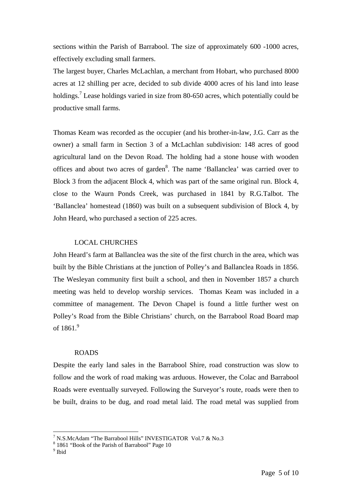sections within the Parish of Barrabool. The size of approximately 600 -1000 acres, effectively excluding small farmers.

The largest buyer, Charles McLachlan, a merchant from Hobart, who purchased 8000 acres at 12 shilling per acre, decided to sub divide 4000 acres of his land into lease holdings.<sup>7</sup> Lease holdings varied in size from 80-650 acres, which potentially could be productive small farms.

Thomas Keam was recorded as the occupier (and his brother-in-law, J.G. Carr as the owner) a small farm in Section 3 of a McLachlan subdivision: 148 acres of good agricultural land on the Devon Road. The holding had a stone house with wooden offices and about two acres of garden $8$ . The name 'Ballanclea' was carried over to Block 3 from the adjacent Block 4, which was part of the same original run. Block 4, close to the Waurn Ponds Creek, was purchased in 1841 by R.G.Talbot. The 'Ballanclea' homestead (1860) was built on a subsequent subdivision of Block 4, by John Heard, who purchased a section of 225 acres.

#### LOCAL CHURCHES

John Heard's farm at Ballanclea was the site of the first church in the area, which was built by the Bible Christians at the junction of Polley's and Ballanclea Roads in 1856. The Wesleyan community first built a school, and then in November 1857 a church meeting was held to develop worship services. Thomas Keam was included in a committee of management. The Devon Chapel is found a little further west on Polley's Road from the Bible Christians' church, on the Barrabool Road Board map of  $1861<sup>9</sup>$ 

## ROADS

Despite the early land sales in the Barrabool Shire, road construction was slow to follow and the work of road making was arduous. However, the Colac and Barrabool Roads were eventually surveyed. Following the Surveyor's route, roads were then to be built, drains to be dug, and road metal laid. The road metal was supplied from

<sup>&</sup>lt;sup>7</sup> N.S.McAdam "The Barrabool Hills" INVESTIGATOR Vol.7 & No.3<br> $^{8}$  1.861 "Pook of the Parish of Barrabool" Page 10

<sup>&</sup>lt;sup>8</sup> 1861 "Book of the Parish of Barrabool" Page 10

<sup>&</sup>lt;sup>9</sup> Ibid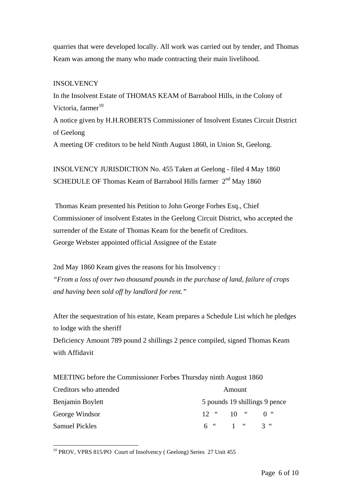quarries that were developed locally. All work was carried out by tender, and Thomas Keam was among the many who made contracting their main livelihood.

## **INSOLVENCY**

In the Insolvent Estate of THOMAS KEAM of Barrabool Hills, in the Colony of Victoria, farmer<sup>10</sup> A notice given by H.H.ROBERTS Commissioner of Insolvent Estates Circuit District of Geelong

A meeting OF creditors to be held Ninth August 1860, in Union St, Geelong.

INSOLVENCY JURISDICTION No. 455 Taken at Geelong - filed 4 May 1860 SCHEDULE OF Thomas Keam of Barrabool Hills farmer 2<sup>nd</sup> May 1860

 Thomas Keam presented his Petition to John George Forbes Esq., Chief Commissioner of insolvent Estates in the Geelong Circuit District, who accepted the surrender of the Estate of Thomas Keam for the benefit of Creditors. George Webster appointed official Assignee of the Estate

2nd May 1860 Keam gives the reasons for his Insolvency : *"From a loss of over two thousand pounds in the purchase of land, failure of crops and having been sold off by landlord for rent."*

After the sequestration of his estate, Keam prepares a Schedule List which he pledges to lodge with the sheriff

Deficiency Amount 789 pound 2 shillings 2 pence compiled, signed Thomas Keam with Affidavit

MEETING before the Commissioner Forbes Thursday ninth August 1860 Creditors who attended Amount Benjamin Boylett 5 pounds 19 shillings 9 pence George Windsor  $12$  "  $10$  "  $0$  " Samuel Pickles 6 " 1 " 3 "

<sup>&</sup>lt;sup>10</sup> PROV, VPRS 815/PO Court of Insolvency (Geelong) Series 27 Unit 455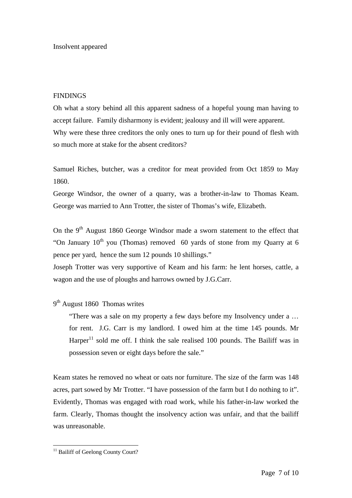Insolvent appeared

## **FINDINGS**

Oh what a story behind all this apparent sadness of a hopeful young man having to accept failure. Family disharmony is evident; jealousy and ill will were apparent. Why were these three creditors the only ones to turn up for their pound of flesh with so much more at stake for the absent creditors?

Samuel Riches, butcher, was a creditor for meat provided from Oct 1859 to May 1860.

George Windsor, the owner of a quarry, was a brother-in-law to Thomas Keam. George was married to Ann Trotter, the sister of Thomas's wife, Elizabeth.

On the 9<sup>th</sup> August 1860 George Windsor made a sworn statement to the effect that "On January  $10^{th}$  you (Thomas) removed 60 yards of stone from my Quarry at 6 pence per yard, hence the sum 12 pounds 10 shillings."

Joseph Trotter was very supportive of Keam and his farm: he lent horses, cattle, a wagon and the use of ploughs and harrows owned by J.G.Carr.

9<sup>th</sup> August 1860 Thomas writes

"There was a sale on my property a few days before my Insolvency under a … for rent. J.G. Carr is my landlord. I owed him at the time 145 pounds. Mr Harper<sup>11</sup> sold me off. I think the sale realised 100 pounds. The Bailiff was in possession seven or eight days before the sale."

Keam states he removed no wheat or oats nor furniture. The size of the farm was 148 acres, part sowed by Mr Trotter. "I have possession of the farm but I do nothing to it". Evidently, Thomas was engaged with road work, while his father-in-law worked the farm. Clearly, Thomas thought the insolvency action was unfair, and that the bailiff was unreasonable.

<sup>&</sup>lt;sup>11</sup> Bailiff of Geelong County Court?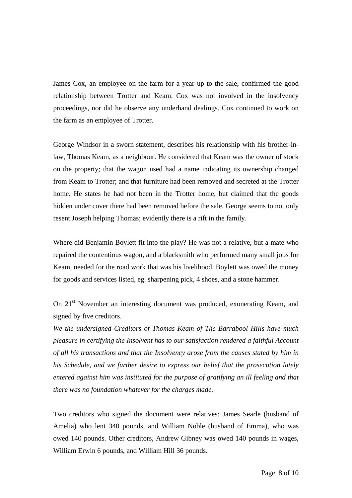James Cox, an employee on the farm for a year up to the sale, confirmed the good relationship between Trotter and Keam. Cox was not involved in the insolvency proceedings, nor did he observe any underhand dealings. Cox continued to work on the farm as an employee of Trotter.

George Windsor in a sworn statement, describes his relationship with his brother-inlaw, Thomas Keam, as a neighbour. He considered that Keam was the owner of stock on the property; that the wagon used had a name indicating its ownership changed from Keam to Trotter; and that furniture had been removed and secreted at the Trotter home. He states he had not been in the Trotter home, but claimed that the goods hidden under cover there had been removed before the sale. George seems to not only resent Joseph helping Thomas; evidently there is a rift in the family.

Where did Benjamin Boylett fit into the play? He was not a relative, but a mate who repaired the contentious wagon, and a blacksmith who performed many small jobs for Keam, needed for the road work that was his livelihood. Boylett was owed the money for goods and services listed, eg. sharpening pick, 4 shoes, and a stone hammer.

On 21<sup>st</sup> November an interesting document was produced, exonerating Keam, and signed by five creditors.

*We the undersigned Creditors of Thomas Keam of The Barrabool Hills have much pleasure in certifying the Insolvent has to our satisfaction rendered a faithful Account of all his transactions and that the Insolvency arose from the causes stated by him in his Schedule, and we further desire to express our belief that the prosecution lately entered against him was instituted for the purpose of gratifying an ill feeling and that there was no foundation whatever for the charges made.* 

Two creditors who signed the document were relatives: James Searle (husband of Amelia) who lent 340 pounds, and William Noble (husband of Emma), who was owed 140 pounds. Other creditors, Andrew Gibney was owed 140 pounds in wages, William Erwin 6 pounds, and William Hill 36 pounds.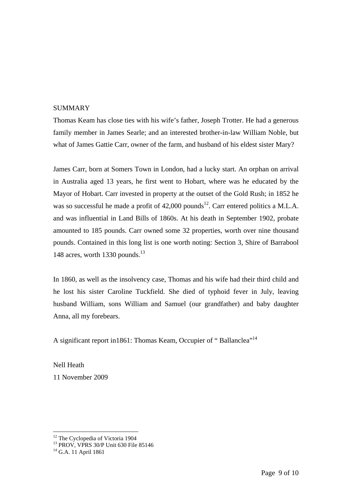#### **SUMMARY**

Thomas Keam has close ties with his wife's father, Joseph Trotter. He had a generous family member in James Searle; and an interested brother-in-law William Noble, but what of James Gattie Carr, owner of the farm, and husband of his eldest sister Mary?

James Carr, born at Somers Town in London, had a lucky start. An orphan on arrival in Australia aged 13 years, he first went to Hobart, where was he educated by the Mayor of Hobart. Carr invested in property at the outset of the Gold Rush; in 1852 he was so successful he made a profit of  $42,000$  pounds<sup>12</sup>. Carr entered politics a M.L.A. and was influential in Land Bills of 1860s. At his death in September 1902, probate amounted to 185 pounds. Carr owned some 32 properties, worth over nine thousand pounds. Contained in this long list is one worth noting: Section 3, Shire of Barrabool 148 acres, worth 1330 pounds. $^{13}$ 

In 1860, as well as the insolvency case, Thomas and his wife had their third child and he lost his sister Caroline Tuckfield. She died of typhoid fever in July, leaving husband William, sons William and Samuel (our grandfather) and baby daughter Anna, all my forebears.

A significant report in1861: Thomas Keam, Occupier of " Ballanclea"14

Nell Heath 11 November 2009

<sup>&</sup>lt;sup>12</sup> The Cyclopedia of Victoria 1904

<sup>&</sup>lt;sup>13</sup> PROV, VPRS 30/P Unit 630 File 85146

 $14$  G.A. 11 April 1861